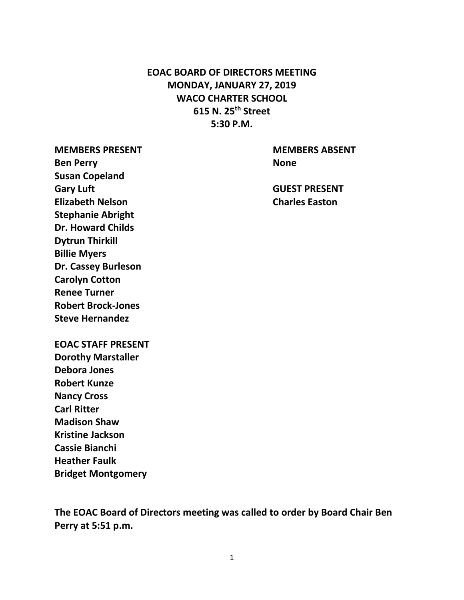# **EOAC BOARD OF DIRECTORS MEETING MONDAY, JANUARY 27, 2019 WACO CHARTER SCHOOL 615 N. 25th Street 5:30 P.M.**

**Ben Perry None Susan Copeland Gary Luft GUEST PRESENT Elizabeth Nelson Charles Easton Stephanie Abright Dr. Howard Childs Dytrun Thirkill Billie Myers Dr. Cassey Burleson Carolyn Cotton Renee Turner Robert Brock-Jones Steve Hernandez**

**MEMBERS PRESENT MEMBERS ABSENT**

**EOAC STAFF PRESENT Dorothy Marstaller Debora Jones Robert Kunze Nancy Cross**

**Carl Ritter Madison Shaw Kristine Jackson Cassie Bianchi Heather Faulk Bridget Montgomery** 

**The EOAC Board of Directors meeting was called to order by Board Chair Ben Perry at 5:51 p.m.**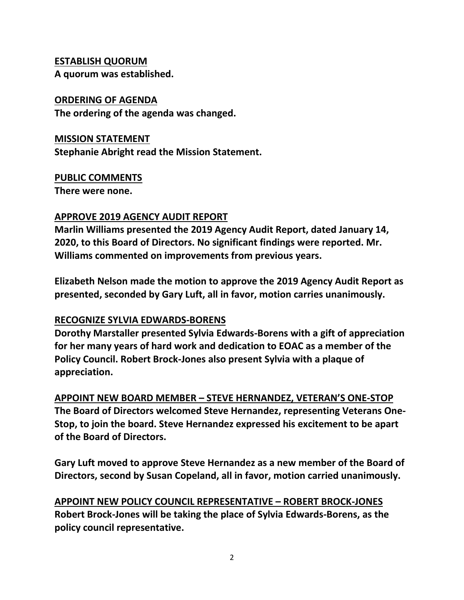### **ESTABLISH QUORUM**

**A quorum was established.**

### **ORDERING OF AGENDA**

**The ordering of the agenda was changed.** 

### **MISSION STATEMENT**

**Stephanie Abright read the Mission Statement.**

## **PUBLIC COMMENTS**

**There were none.**

## **APPROVE 2019 AGENCY AUDIT REPORT**

**Marlin Williams presented the 2019 Agency Audit Report, dated January 14, 2020, to this Board of Directors. No significant findings were reported. Mr. Williams commented on improvements from previous years.** 

**Elizabeth Nelson made the motion to approve the 2019 Agency Audit Report as presented, seconded by Gary Luft, all in favor, motion carries unanimously.**

## **RECOGNIZE SYLVIA EDWARDS-BORENS**

**Dorothy Marstaller presented Sylvia Edwards-Borens with a gift of appreciation for her many years of hard work and dedication to EOAC as a member of the Policy Council. Robert Brock-Jones also present Sylvia with a plaque of appreciation.**

**APPOINT NEW BOARD MEMBER – STEVE HERNANDEZ, VETERAN'S ONE-STOP The Board of Directors welcomed Steve Hernandez, representing Veterans One-Stop, to join the board. Steve Hernandez expressed his excitement to be apart of the Board of Directors.**

**Gary Luft moved to approve Steve Hernandez as a new member of the Board of Directors, second by Susan Copeland, all in favor, motion carried unanimously.** 

**APPOINT NEW POLICY COUNCIL REPRESENTATIVE – ROBERT BROCK-JONES Robert Brock-Jones will be taking the place of Sylvia Edwards-Borens, as the policy council representative.**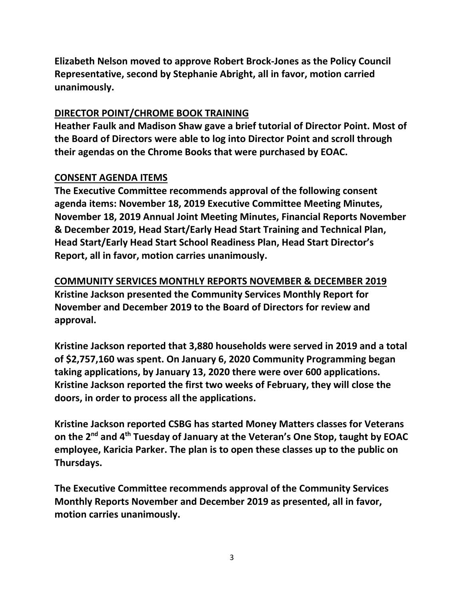**Elizabeth Nelson moved to approve Robert Brock-Jones as the Policy Council Representative, second by Stephanie Abright, all in favor, motion carried unanimously.**

## **DIRECTOR POINT/CHROME BOOK TRAINING**

**Heather Faulk and Madison Shaw gave a brief tutorial of Director Point. Most of the Board of Directors were able to log into Director Point and scroll through their agendas on the Chrome Books that were purchased by EOAC.**

## **CONSENT AGENDA ITEMS**

**The Executive Committee recommends approval of the following consent agenda items: November 18, 2019 Executive Committee Meeting Minutes, November 18, 2019 Annual Joint Meeting Minutes, Financial Reports November & December 2019, Head Start/Early Head Start Training and Technical Plan, Head Start/Early Head Start School Readiness Plan, Head Start Director's Report, all in favor, motion carries unanimously.**

**COMMUNITY SERVICES MONTHLY REPORTS NOVEMBER & DECEMBER 2019 Kristine Jackson presented the Community Services Monthly Report for November and December 2019 to the Board of Directors for review and approval.**

**Kristine Jackson reported that 3,880 households were served in 2019 and a total of \$2,757,160 was spent. On January 6, 2020 Community Programming began taking applications, by January 13, 2020 there were over 600 applications. Kristine Jackson reported the first two weeks of February, they will close the doors, in order to process all the applications.**

**Kristine Jackson reported CSBG has started Money Matters classes for Veterans on the 2nd and 4th Tuesday of January at the Veteran's One Stop, taught by EOAC employee, Karicia Parker. The plan is to open these classes up to the public on Thursdays.**

**The Executive Committee recommends approval of the Community Services Monthly Reports November and December 2019 as presented, all in favor, motion carries unanimously.**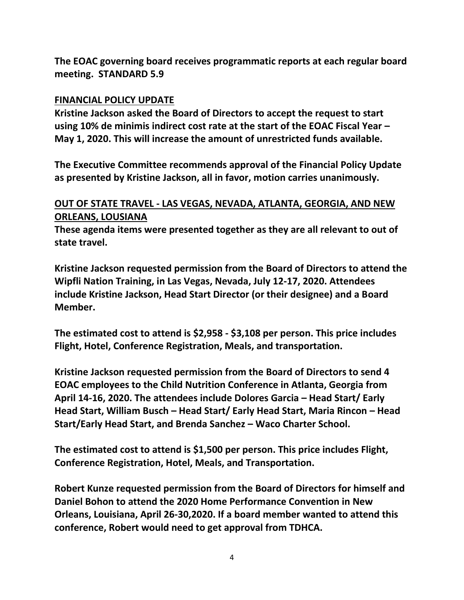**The EOAC governing board receives programmatic reports at each regular board meeting. STANDARD 5.9**

### **FINANCIAL POLICY UPDATE**

**Kristine Jackson asked the Board of Directors to accept the request to start using 10% de minimis indirect cost rate at the start of the EOAC Fiscal Year – May 1, 2020. This will increase the amount of unrestricted funds available.** 

**The Executive Committee recommends approval of the Financial Policy Update as presented by Kristine Jackson, all in favor, motion carries unanimously.**

## **OUT OF STATE TRAVEL - LAS VEGAS, NEVADA, ATLANTA, GEORGIA, AND NEW ORLEANS, LOUSIANA**

**These agenda items were presented together as they are all relevant to out of state travel.**

**Kristine Jackson requested permission from the Board of Directors to attend the Wipfli Nation Training, in Las Vegas, Nevada, July 12-17, 2020. Attendees include Kristine Jackson, Head Start Director (or their designee) and a Board Member.**

**The estimated cost to attend is \$2,958 - \$3,108 per person. This price includes Flight, Hotel, Conference Registration, Meals, and transportation.** 

**Kristine Jackson requested permission from the Board of Directors to send 4 EOAC employees to the Child Nutrition Conference in Atlanta, Georgia from April 14-16, 2020. The attendees include Dolores Garcia – Head Start/ Early Head Start, William Busch – Head Start/ Early Head Start, Maria Rincon – Head Start/Early Head Start, and Brenda Sanchez – Waco Charter School.**

**The estimated cost to attend is \$1,500 per person. This price includes Flight, Conference Registration, Hotel, Meals, and Transportation.**

**Robert Kunze requested permission from the Board of Directors for himself and Daniel Bohon to attend the 2020 Home Performance Convention in New Orleans, Louisiana, April 26-30,2020. If a board member wanted to attend this conference, Robert would need to get approval from TDHCA.**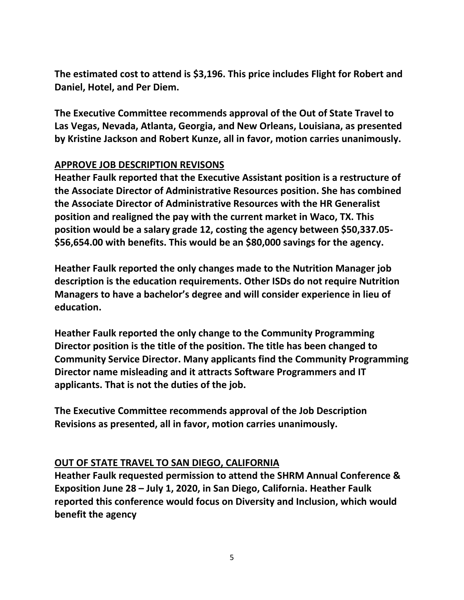**The estimated cost to attend is \$3,196. This price includes Flight for Robert and Daniel, Hotel, and Per Diem.**

**The Executive Committee recommends approval of the Out of State Travel to Las Vegas, Nevada, Atlanta, Georgia, and New Orleans, Louisiana, as presented by Kristine Jackson and Robert Kunze, all in favor, motion carries unanimously.**

## **APPROVE JOB DESCRIPTION REVISONS**

**Heather Faulk reported that the Executive Assistant position is a restructure of the Associate Director of Administrative Resources position. She has combined the Associate Director of Administrative Resources with the HR Generalist position and realigned the pay with the current market in Waco, TX. This position would be a salary grade 12, costing the agency between \$50,337.05- \$56,654.00 with benefits. This would be an \$80,000 savings for the agency.**

**Heather Faulk reported the only changes made to the Nutrition Manager job description is the education requirements. Other ISDs do not require Nutrition Managers to have a bachelor's degree and will consider experience in lieu of education.** 

**Heather Faulk reported the only change to the Community Programming Director position is the title of the position. The title has been changed to Community Service Director. Many applicants find the Community Programming Director name misleading and it attracts Software Programmers and IT applicants. That is not the duties of the job.**

**The Executive Committee recommends approval of the Job Description Revisions as presented, all in favor, motion carries unanimously.**

#### **OUT OF STATE TRAVEL TO SAN DIEGO, CALIFORNIA**

**Heather Faulk requested permission to attend the SHRM Annual Conference & Exposition June 28 – July 1, 2020, in San Diego, California. Heather Faulk reported this conference would focus on Diversity and Inclusion, which would benefit the agency**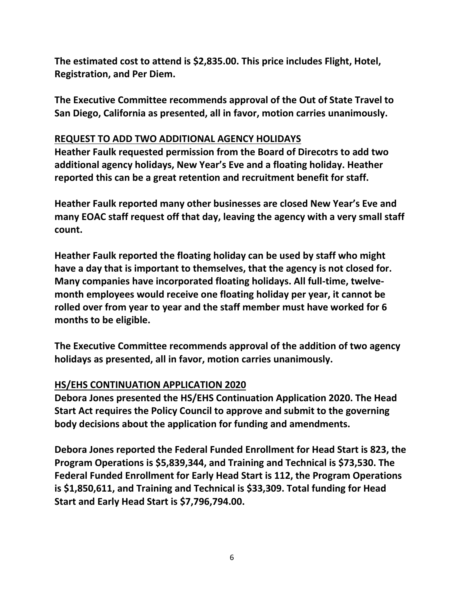**The estimated cost to attend is \$2,835.00. This price includes Flight, Hotel, Registration, and Per Diem.**

**The Executive Committee recommends approval of the Out of State Travel to San Diego, California as presented, all in favor, motion carries unanimously.**

### **REQUEST TO ADD TWO ADDITIONAL AGENCY HOLIDAYS**

**Heather Faulk requested permission from the Board of Direcotrs to add two additional agency holidays, New Year's Eve and a floating holiday. Heather reported this can be a great retention and recruitment benefit for staff.**

**Heather Faulk reported many other businesses are closed New Year's Eve and many EOAC staff request off that day, leaving the agency with a very small staff count.** 

**Heather Faulk reported the floating holiday can be used by staff who might have a day that is important to themselves, that the agency is not closed for. Many companies have incorporated floating holidays. All full-time, twelvemonth employees would receive one floating holiday per year, it cannot be rolled over from year to year and the staff member must have worked for 6 months to be eligible.**

**The Executive Committee recommends approval of the addition of two agency holidays as presented, all in favor, motion carries unanimously.**

## **HS/EHS CONTINUATION APPLICATION 2020**

**Debora Jones presented the HS/EHS Continuation Application 2020. The Head Start Act requires the Policy Council to approve and submit to the governing body decisions about the application for funding and amendments.** 

**Debora Jones reported the Federal Funded Enrollment for Head Start is 823, the Program Operations is \$5,839,344, and Training and Technical is \$73,530. The Federal Funded Enrollment for Early Head Start is 112, the Program Operations is \$1,850,611, and Training and Technical is \$33,309. Total funding for Head Start and Early Head Start is \$7,796,794.00.**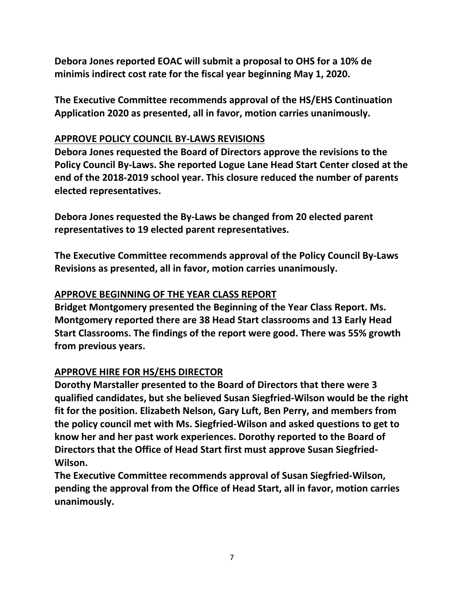**Debora Jones reported EOAC will submit a proposal to OHS for a 10% de minimis indirect cost rate for the fiscal year beginning May 1, 2020.**

**The Executive Committee recommends approval of the HS/EHS Continuation Application 2020 as presented, all in favor, motion carries unanimously.**

### **APPROVE POLICY COUNCIL BY-LAWS REVISIONS**

**Debora Jones requested the Board of Directors approve the revisions to the Policy Council By-Laws. She reported Logue Lane Head Start Center closed at the end of the 2018-2019 school year. This closure reduced the number of parents elected representatives.** 

**Debora Jones requested the By-Laws be changed from 20 elected parent representatives to 19 elected parent representatives.** 

**The Executive Committee recommends approval of the Policy Council By-Laws Revisions as presented, all in favor, motion carries unanimously.**

## **APPROVE BEGINNING OF THE YEAR CLASS REPORT**

**Bridget Montgomery presented the Beginning of the Year Class Report. Ms. Montgomery reported there are 38 Head Start classrooms and 13 Early Head Start Classrooms. The findings of the report were good. There was 55% growth from previous years.**

# **APPROVE HIRE FOR HS/EHS DIRECTOR**

**Dorothy Marstaller presented to the Board of Directors that there were 3 qualified candidates, but she believed Susan Siegfried-Wilson would be the right fit for the position. Elizabeth Nelson, Gary Luft, Ben Perry, and members from the policy council met with Ms. Siegfried-Wilson and asked questions to get to know her and her past work experiences. Dorothy reported to the Board of Directors that the Office of Head Start first must approve Susan Siegfried-Wilson.**

**The Executive Committee recommends approval of Susan Siegfried-Wilson, pending the approval from the Office of Head Start, all in favor, motion carries unanimously.**